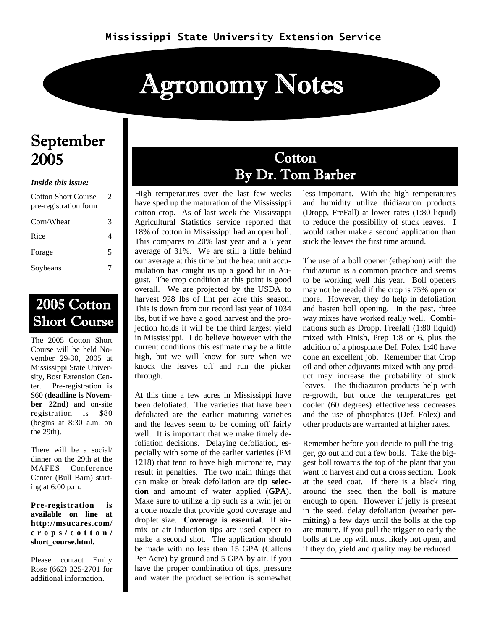# Agronomy Notes

### September 2005

#### *Inside this issue:*

| <b>Cotton Short Course</b><br>pre-registration form | $\mathcal{D}_{\cdot}$ |  |
|-----------------------------------------------------|-----------------------|--|
| Corn/Wheat                                          | 3                     |  |
| Rice                                                | 4                     |  |
| Forage                                              | 5                     |  |
| Soybeans                                            |                       |  |

### 2005 Cotton Short Course

The 2005 Cotton Short Course will be held November 29-30, 2005 at Mississippi State University, Bost Extension Center. Pre-registration is \$60 (**deadline is November 22nd**) and on-site registration is \$80 (begins at 8:30 a.m. on the 29th).

There will be a social/ dinner on the 29th at the MAFES Conference Center (Bull Barn) starting at 6:00 p.m.

**Pre-registration is available on line at http://msucares.com/ crops/cotton/ short\_course.html.** 

Please contact Emily Rose (662) 325-2701 for additional information.

### **Cotton** By Dr. Tom Barber

High temperatures over the last few weeks have sped up the maturation of the Mississippi cotton crop. As of last week the Mississippi Agricultural Statistics service reported that 18% of cotton in Mississippi had an open boll. This compares to 20% last year and a 5 year average of 31%. We are still a little behind our average at this time but the heat unit accumulation has caught us up a good bit in August. The crop condition at this point is good overall. We are projected by the USDA to harvest 928 lbs of lint per acre this season. This is down from our record last year of 1034 lbs, but if we have a good harvest and the projection holds it will be the third largest yield in Mississippi. I do believe however with the current conditions this estimate may be a little high, but we will know for sure when we knock the leaves off and run the picker through.

At this time a few acres in Mississippi have been defoliated. The varieties that have been defoliated are the earlier maturing varieties and the leaves seem to be coming off fairly well. It is important that we make timely defoliation decisions. Delaying defoliation, especially with some of the earlier varieties (PM 1218) that tend to have high micronaire, may result in penalties. The two main things that can make or break defoliation are **tip selection** and amount of water applied (**GPA**). Make sure to utilize a tip such as a twin jet or a cone nozzle that provide good coverage and droplet size. **Coverage is essential**. If airmix or air induction tips are used expect to make a second shot. The application should be made with no less than 15 GPA (Gallons Per Acre) by ground and 5 GPA by air. If you have the proper combination of tips, pressure and water the product selection is somewhat

less important. With the high temperatures and humidity utilize thidiazuron products (Dropp, FreFall) at lower rates (1:80 liquid) to reduce the possibility of stuck leaves. I would rather make a second application than stick the leaves the first time around.

The use of a boll opener (ethephon) with the thidiazuron is a common practice and seems to be working well this year. Boll openers may not be needed if the crop is 75% open or more. However, they do help in defoliation and hasten boll opening. In the past, three way mixes have worked really well. Combinations such as Dropp, Freefall (1:80 liquid) mixed with Finish, Prep 1:8 or 6, plus the addition of a phosphate Def, Folex 1:40 have done an excellent job. Remember that Crop oil and other adjuvants mixed with any product may increase the probability of stuck leaves. The thidiazuron products help with re-growth, but once the temperatures get cooler (60 degrees) effectiveness decreases and the use of phosphates (Def, Folex) and other products are warranted at higher rates.

Remember before you decide to pull the trigger, go out and cut a few bolls. Take the biggest boll towards the top of the plant that you want to harvest and cut a cross section. Look at the seed coat. If there is a black ring around the seed then the boll is mature enough to open. However if jelly is present in the seed, delay defoliation (weather permitting) a few days until the bolls at the top are mature. If you pull the trigger to early the bolls at the top will most likely not open, and if they do, yield and quality may be reduced.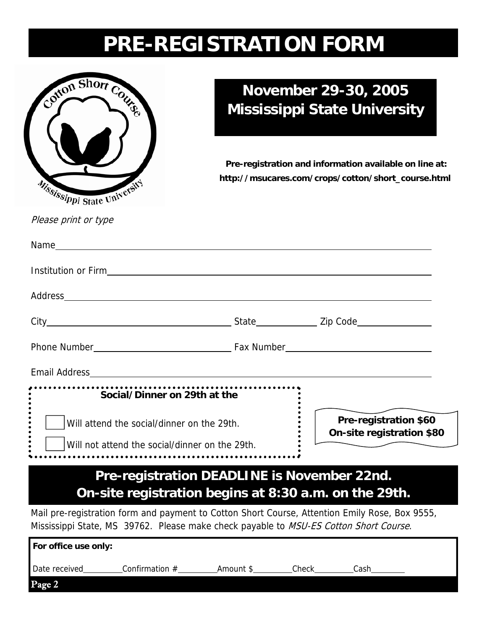# **PRE-REGISTRATION FORM**



### **November 29-30, 2005 Mississippi State University**

**Pre-registration and information available on line at: http://msucares.com/crops/cotton/short\_course.html** 

Please print or type

| <b>Institution or Firm and Server Server Server Server Server Server Server Server Server Server Server Server Server Server Server Server Server Server Server Server Server Server Server Server Server Server Server Server S</b> |                                                       |                                                    |
|--------------------------------------------------------------------------------------------------------------------------------------------------------------------------------------------------------------------------------------|-------------------------------------------------------|----------------------------------------------------|
|                                                                                                                                                                                                                                      |                                                       |                                                    |
|                                                                                                                                                                                                                                      |                                                       |                                                    |
|                                                                                                                                                                                                                                      |                                                       |                                                    |
|                                                                                                                                                                                                                                      |                                                       |                                                    |
| Social/Dinner on 29th at the                                                                                                                                                                                                         |                                                       |                                                    |
| Will attend the social/dinner on the 29th.                                                                                                                                                                                           |                                                       | Pre-registration \$60<br>On-site registration \$80 |
| Will not attend the social/dinner on the 29th.                                                                                                                                                                                       |                                                       |                                                    |
|                                                                                                                                                                                                                                      | Pre-registration DEADLINE is November 22nd.           |                                                    |
|                                                                                                                                                                                                                                      | On-site registration begins at 8:30 a.m. on the 29th. |                                                    |
| Mail pre-registration form and payment to Cotton Short Course, Attention Emily Rose, Box 9555,<br>Mississippi State, MS 39762. Please make check payable to MSU-ES Cotton Short Course.                                              |                                                       |                                                    |
| For office use only:                                                                                                                                                                                                                 |                                                       |                                                    |
| Date received__________Confirmation #__________________________________Check___________Cash______                                                                                                                                    |                                                       |                                                    |

Page 2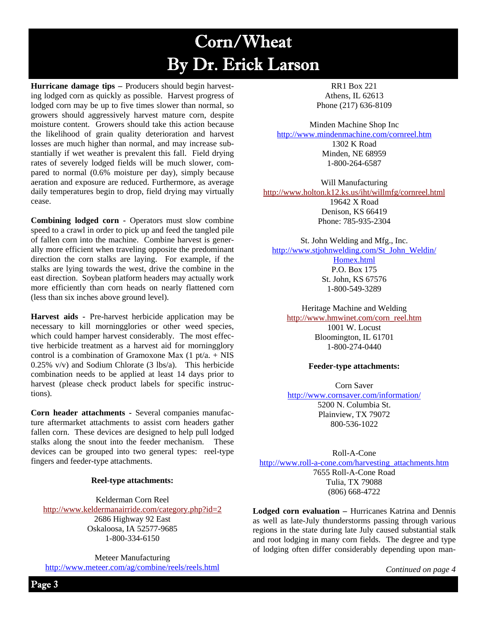# Corn/Wheat By Dr. Erick Larson

**Hurricane damage tips –** Producers should begin harvesting lodged corn as quickly as possible. Harvest progress of lodged corn may be up to five times slower than normal, so growers should aggressively harvest mature corn, despite moisture content. Growers should take this action because the likelihood of grain quality deterioration and harvest losses are much higher than normal, and may increase substantially if wet weather is prevalent this fall. Field drying rates of severely lodged fields will be much slower, compared to normal (0.6% moisture per day), simply because aeration and exposure are reduced. Furthermore, as average daily temperatures begin to drop, field drying may virtually cease.

**Combining lodged corn -** Operators must slow combine speed to a crawl in order to pick up and feed the tangled pile of fallen corn into the machine. Combine harvest is generally more efficient when traveling opposite the predominant direction the corn stalks are laying. For example, if the stalks are lying towards the west, drive the combine in the east direction. Soybean platform headers may actually work more efficiently than corn heads on nearly flattened corn (less than six inches above ground level).

**Harvest aids -** Pre-harvest herbicide application may be necessary to kill morningglories or other weed species, which could hamper harvest considerably. The most effective herbicide treatment as a harvest aid for morningglory control is a combination of Gramoxone Max  $(1 \text{ pt/a.} + \text{NIS})$ 0.25% v/v) and Sodium Chlorate (3 lbs/a). This herbicide combination needs to be applied at least 14 days prior to harvest (please check product labels for specific instructions).

**Corn header attachments -** Several companies manufacture aftermarket attachments to assist corn headers gather fallen corn. These devices are designed to help pull lodged stalks along the snout into the feeder mechanism. These devices can be grouped into two general types: reel-type fingers and feeder-type attachments.

#### **Reel-type attachments:**

Kelderman Corn Reel http://www.keldermanairride.com/category.php?id=2 2686 Highway 92 East Oskaloosa, IA 52577-9685 1-800-334-6150

Meteer Manufacturing http://www.meteer.com/ag/combine/reels/reels.html

RR1 Box 221 Athens, IL 62613 Phone (217) 636-8109

Minden Machine Shop Inc http://www.mindenmachine.com/cornreel.htm 1302 K Road Minden, NE 68959 1-800-264-6587

Will Manufacturing http://www.holton.k12.ks.us/iht/willmfg/cornreel.html 19642 X Road Denison, KS 66419 Phone: 785-935-2304

St. John Welding and Mfg., Inc. http://www.stjohnwelding.com/St\_John\_Weldin/ Homex.html P.O. Box 175

St. John, KS 67576 1-800-549-3289

Heritage Machine and Welding http://www.hmwinet.com/corn\_reel.htm 1001 W. Locust

Bloomington, IL 61701 1-800-274-0440

#### **Feeder-type attachments:**

Corn Saver http://www.cornsaver.com/information/ 5200 N. Columbia St. Plainview, TX 79072 800-536-1022

Roll-A-Cone http://www.roll-a-cone.com/harvesting\_attachments.htm 7655 Roll-A-Cone Road Tulia, TX 79088 (806) 668-4722

**Lodged corn evaluation –** Hurricanes Katrina and Dennis as well as late-July thunderstorms passing through various regions in the state during late July caused substantial stalk and root lodging in many corn fields. The degree and type of lodging often differ considerably depending upon man-

*Continued on page 4*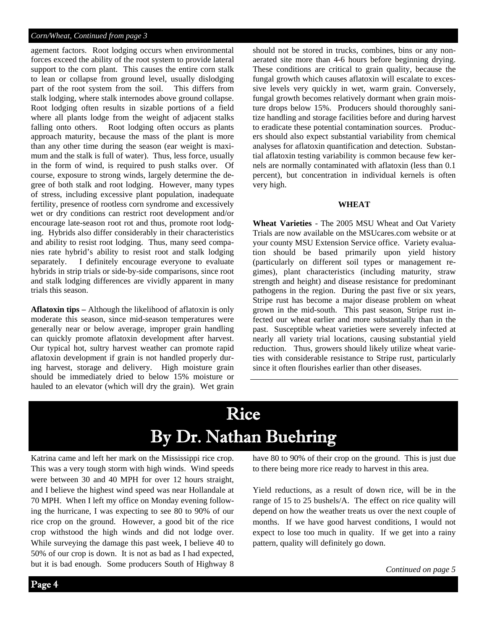#### *Corn/Wheat, Continued from page 3*

agement factors. Root lodging occurs when environmental forces exceed the ability of the root system to provide lateral support to the corn plant. This causes the entire corn stalk to lean or collapse from ground level, usually dislodging part of the root system from the soil. This differs from stalk lodging, where stalk internodes above ground collapse. Root lodging often results in sizable portions of a field where all plants lodge from the weight of adjacent stalks falling onto others. Root lodging often occurs as plants approach maturity, because the mass of the plant is more than any other time during the season (ear weight is maximum and the stalk is full of water). Thus, less force, usually in the form of wind, is required to push stalks over. Of course, exposure to strong winds, largely determine the degree of both stalk and root lodging. However, many types of stress, including excessive plant population, inadequate fertility, presence of rootless corn syndrome and excessively wet or dry conditions can restrict root development and/or encourage late-season root rot and thus, promote root lodging. Hybrids also differ considerably in their characteristics and ability to resist root lodging. Thus, many seed companies rate hybrid's ability to resist root and stalk lodging separately. I definitely encourage everyone to evaluate hybrids in strip trials or side-by-side comparisons, since root and stalk lodging differences are vividly apparent in many trials this season.

**Aflatoxin tips –** Although the likelihood of aflatoxin is only moderate this season, since mid-season temperatures were generally near or below average, improper grain handling can quickly promote aflatoxin development after harvest. Our typical hot, sultry harvest weather can promote rapid aflatoxin development if grain is not handled properly during harvest, storage and delivery. High moisture grain should be immediately dried to below 15% moisture or hauled to an elevator (which will dry the grain). Wet grain should not be stored in trucks, combines, bins or any nonaerated site more than 4-6 hours before beginning drying. These conditions are critical to grain quality, because the fungal growth which causes aflatoxin will escalate to excessive levels very quickly in wet, warm grain. Conversely, fungal growth becomes relatively dormant when grain moisture drops below 15%. Producers should thoroughly sanitize handling and storage facilities before and during harvest to eradicate these potential contamination sources. Producers should also expect substantial variability from chemical analyses for aflatoxin quantification and detection. Substantial aflatoxin testing variability is common because few kernels are normally contaminated with aflatoxin (less than 0.1 percent), but concentration in individual kernels is often very high.

#### **WHEAT**

**Wheat Varieties** - The 2005 MSU Wheat and Oat Variety Trials are now available on the MSUcares.com website or at your county MSU Extension Service office. Variety evaluation should be based primarily upon yield history (particularly on different soil types or management regimes), plant characteristics (including maturity, straw strength and height) and disease resistance for predominant pathogens in the region. During the past five or six years, Stripe rust has become a major disease problem on wheat grown in the mid-south. This past season, Stripe rust infected our wheat earlier and more substantially than in the past. Susceptible wheat varieties were severely infected at nearly all variety trial locations, causing substantial yield reduction. Thus, growers should likely utilize wheat varieties with considerable resistance to Stripe rust, particularly since it often flourishes earlier than other diseases.

## Rice By Dr. Nathan Buehring

Katrina came and left her mark on the Mississippi rice crop. This was a very tough storm with high winds. Wind speeds were between 30 and 40 MPH for over 12 hours straight, and I believe the highest wind speed was near Hollandale at 70 MPH. When I left my office on Monday evening following the hurricane, I was expecting to see 80 to 90% of our rice crop on the ground. However, a good bit of the rice crop withstood the high winds and did not lodge over. While surveying the damage this past week, I believe 40 to 50% of our crop is down. It is not as bad as I had expected, but it is bad enough. Some producers South of Highway 8 have 80 to 90% of their crop on the ground. This is just due to there being more rice ready to harvest in this area.

Yield reductions, as a result of down rice, will be in the range of 15 to 25 bushels/A. The effect on rice quality will depend on how the weather treats us over the next couple of months. If we have good harvest conditions, I would not expect to lose too much in quality. If we get into a rainy pattern, quality will definitely go down.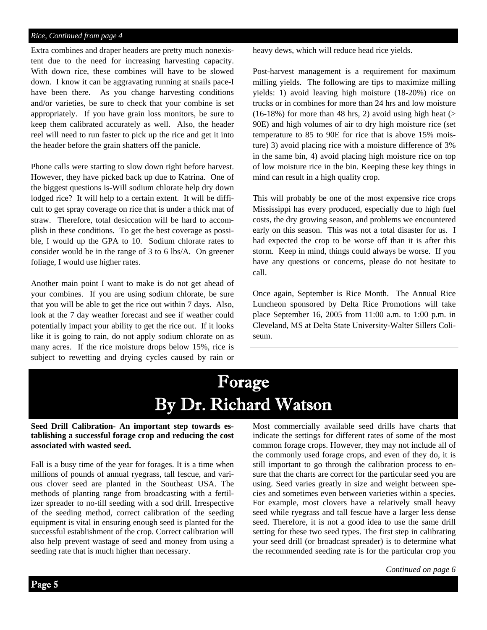#### *Rice, Continued from page 4*

Extra combines and draper headers are pretty much nonexistent due to the need for increasing harvesting capacity. With down rice, these combines will have to be slowed down. I know it can be aggravating running at snails pace-I have been there. As you change harvesting conditions and/or varieties, be sure to check that your combine is set appropriately. If you have grain loss monitors, be sure to keep them calibrated accurately as well. Also, the header reel will need to run faster to pick up the rice and get it into the header before the grain shatters off the panicle.

Phone calls were starting to slow down right before harvest. However, they have picked back up due to Katrina. One of the biggest questions is-Will sodium chlorate help dry down lodged rice? It will help to a certain extent. It will be difficult to get spray coverage on rice that is under a thick mat of straw. Therefore, total desiccation will be hard to accomplish in these conditions. To get the best coverage as possible, I would up the GPA to 10. Sodium chlorate rates to consider would be in the range of 3 to 6 lbs/A. On greener foliage, I would use higher rates.

Another main point I want to make is do not get ahead of your combines. If you are using sodium chlorate, be sure that you will be able to get the rice out within 7 days. Also, look at the 7 day weather forecast and see if weather could potentially impact your ability to get the rice out. If it looks like it is going to rain, do not apply sodium chlorate on as many acres. If the rice moisture drops below 15%, rice is subject to rewetting and drying cycles caused by rain or heavy dews, which will reduce head rice yields.

Post-harvest management is a requirement for maximum milling yields. The following are tips to maximize milling yields: 1) avoid leaving high moisture (18-20%) rice on trucks or in combines for more than 24 hrs and low moisture  $(16-18%)$  for more than 48 hrs, 2) avoid using high heat (> 90E) and high volumes of air to dry high moisture rice (set temperature to 85 to 90E for rice that is above 15% moisture) 3) avoid placing rice with a moisture difference of 3% in the same bin, 4) avoid placing high moisture rice on top of low moisture rice in the bin. Keeping these key things in mind can result in a high quality crop.

This will probably be one of the most expensive rice crops Mississippi has every produced, especially due to high fuel costs, the dry growing season, and problems we encountered early on this season. This was not a total disaster for us. I had expected the crop to be worse off than it is after this storm. Keep in mind, things could always be worse. If you have any questions or concerns, please do not hesitate to call.

Once again, September is Rice Month. The Annual Rice Luncheon sponsored by Delta Rice Promotions will take place September 16, 2005 from 11:00 a.m. to 1:00 p.m. in Cleveland, MS at Delta State University-Walter Sillers Coliseum.

## Forage By Dr. Richard Watson

#### **Seed Drill Calibration- An important step towards establishing a successful forage crop and reducing the cost associated with wasted seed.**

Fall is a busy time of the year for forages. It is a time when millions of pounds of annual ryegrass, tall fescue, and various clover seed are planted in the Southeast USA. The methods of planting range from broadcasting with a fertilizer spreader to no-till seeding with a sod drill. Irrespective of the seeding method, correct calibration of the seeding equipment is vital in ensuring enough seed is planted for the successful establishment of the crop. Correct calibration will also help prevent wastage of seed and money from using a seeding rate that is much higher than necessary.

Most commercially available seed drills have charts that indicate the settings for different rates of some of the most common forage crops. However, they may not include all of the commonly used forage crops, and even of they do, it is still important to go through the calibration process to ensure that the charts are correct for the particular seed you are using. Seed varies greatly in size and weight between species and sometimes even between varieties within a species. For example, most clovers have a relatively small heavy seed while ryegrass and tall fescue have a larger less dense seed. Therefore, it is not a good idea to use the same drill setting for these two seed types. The first step in calibrating your seed drill (or broadcast spreader) is to determine what the recommended seeding rate is for the particular crop you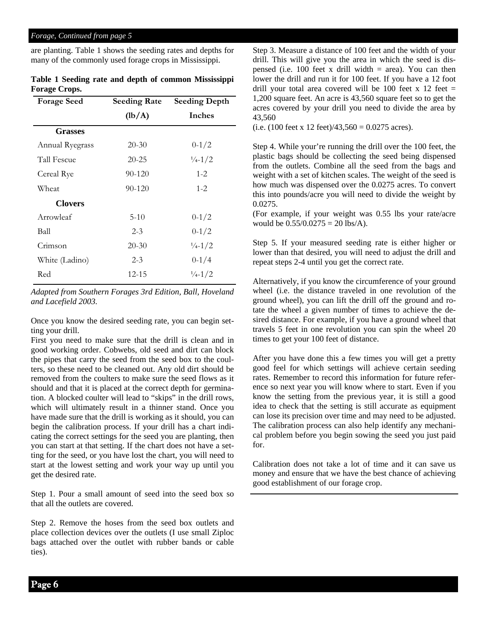#### *Forage, Continued from page 5*

are planting. Table 1 shows the seeding rates and depths for many of the commonly used forage crops in Mississippi.

| Table 1 Seeding rate and depth of common Mississippi |  |  |
|------------------------------------------------------|--|--|
| <b>Forage Crops.</b>                                 |  |  |

| <b>Forage Seed</b> | <b>Seeding Rate</b> | <b>Seeding Depth</b>        |
|--------------------|---------------------|-----------------------------|
|                    | (lb/A)              | <b>Inches</b>               |
| <b>Grasses</b>     |                     |                             |
| Annual Ryegrass    | $20 - 30$           | $0 - 1/2$                   |
| Tall Fescue        | $20 - 25$           | $\frac{1}{4} - \frac{1}{2}$ |
| Cereal Rye         | 90-120              | $1 - 2$                     |
| Wheat              | 90-120              | $1 - 2$                     |
| <b>Clovers</b>     |                     |                             |
| Arrowleaf          | $5 - 10$            | $0 - 1/2$                   |
| Ball               | $2 - 3$             | $0 - 1/2$                   |
| Crimson            | $20 - 30$           | $\frac{1}{4} - \frac{1}{2}$ |
| White (Ladino)     | $2 - 3$             | $0 - 1/4$                   |
| Red                | 12-15               | $\frac{1}{4}$ -1/2          |

*Adapted from Southern Forages 3rd Edition, Ball, Hoveland and Lacefield 2003.* 

Once you know the desired seeding rate, you can begin setting your drill.

First you need to make sure that the drill is clean and in good working order. Cobwebs, old seed and dirt can block the pipes that carry the seed from the seed box to the coulters, so these need to be cleaned out. Any old dirt should be removed from the coulters to make sure the seed flows as it should and that it is placed at the correct depth for germination. A blocked coulter will lead to "skips" in the drill rows, which will ultimately result in a thinner stand. Once you have made sure that the drill is working as it should, you can begin the calibration process. If your drill has a chart indicating the correct settings for the seed you are planting, then you can start at that setting. If the chart does not have a setting for the seed, or you have lost the chart, you will need to start at the lowest setting and work your way up until you get the desired rate.

Step 1. Pour a small amount of seed into the seed box so that all the outlets are covered.

Step 2. Remove the hoses from the seed box outlets and place collection devices over the outlets (I use small Ziploc bags attached over the outlet with rubber bands or cable ties).

Step 3. Measure a distance of 100 feet and the width of your drill. This will give you the area in which the seed is dispensed (i.e. 100 feet x drill width  $=$  area). You can then lower the drill and run it for 100 feet. If you have a 12 foot drill your total area covered will be 100 feet  $x$  12 feet = 1,200 square feet. An acre is 43,560 square feet so to get the acres covered by your drill you need to divide the area by 43,560

(i.e. (100 feet x 12 feet)/43,560 =  $0.0275$  acres).

Step 4. While your're running the drill over the 100 feet, the plastic bags should be collecting the seed being dispensed from the outlets. Combine all the seed from the bags and weight with a set of kitchen scales. The weight of the seed is how much was dispensed over the 0.0275 acres. To convert this into pounds/acre you will need to divide the weight by 0.0275.

(For example, if your weight was 0.55 lbs your rate/acre would be 0.55/0.0275 = 20 lbs/A).

Step 5. If your measured seeding rate is either higher or lower than that desired, you will need to adjust the drill and repeat steps 2-4 until you get the correct rate.

Alternatively, if you know the circumference of your ground wheel (i.e. the distance traveled in one revolution of the ground wheel), you can lift the drill off the ground and rotate the wheel a given number of times to achieve the desired distance. For example, if you have a ground wheel that travels 5 feet in one revolution you can spin the wheel 20 times to get your 100 feet of distance.

After you have done this a few times you will get a pretty good feel for which settings will achieve certain seeding rates. Remember to record this information for future reference so next year you will know where to start. Even if you know the setting from the previous year, it is still a good idea to check that the setting is still accurate as equipment can lose its precision over time and may need to be adjusted. The calibration process can also help identify any mechanical problem before you begin sowing the seed you just paid for.

Calibration does not take a lot of time and it can save us money and ensure that we have the best chance of achieving good establishment of our forage crop.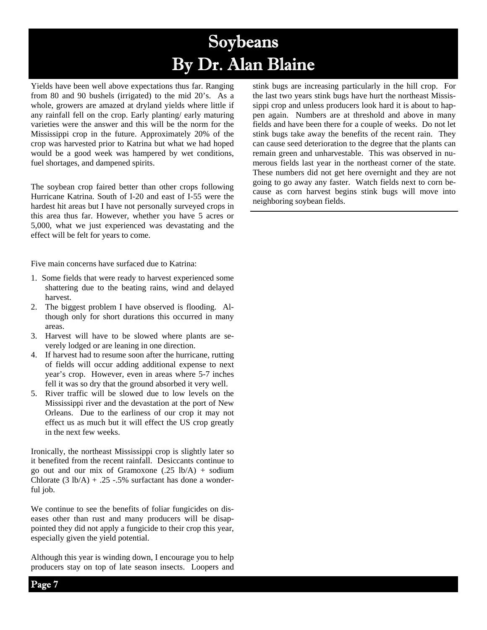# Soybeans By Dr. Alan Blaine

Yields have been well above expectations thus far. Ranging from 80 and 90 bushels (irrigated) to the mid 20's. As a whole, growers are amazed at dryland yields where little if any rainfall fell on the crop. Early planting/ early maturing varieties were the answer and this will be the norm for the Mississippi crop in the future. Approximately 20% of the crop was harvested prior to Katrina but what we had hoped would be a good week was hampered by wet conditions, fuel shortages, and dampened spirits.

The soybean crop faired better than other crops following Hurricane Katrina. South of I-20 and east of I-55 were the hardest hit areas but I have not personally surveyed crops in this area thus far. However, whether you have 5 acres or 5,000, what we just experienced was devastating and the effect will be felt for years to come.

Five main concerns have surfaced due to Katrina:

- 1. Some fields that were ready to harvest experienced some shattering due to the beating rains, wind and delayed harvest.
- 2. The biggest problem I have observed is flooding. Although only for short durations this occurred in many areas.
- 3. Harvest will have to be slowed where plants are severely lodged or are leaning in one direction.
- 4. If harvest had to resume soon after the hurricane, rutting of fields will occur adding additional expense to next year's crop. However, even in areas where 5-7 inches fell it was so dry that the ground absorbed it very well.
- 5. River traffic will be slowed due to low levels on the Mississippi river and the devastation at the port of New Orleans. Due to the earliness of our crop it may not effect us as much but it will effect the US crop greatly in the next few weeks.

Ironically, the northeast Mississippi crop is slightly later so it benefited from the recent rainfall. Desiccants continue to go out and our mix of Gramoxone  $(.25 \text{ lb/A}) + \text{sodium}$ Chlorate  $(3 \text{ lb/A}) + .25 - .5\%$  surfactant has done a wonderful job.

We continue to see the benefits of foliar fungicides on diseases other than rust and many producers will be disappointed they did not apply a fungicide to their crop this year, especially given the yield potential.

Although this year is winding down, I encourage you to help producers stay on top of late season insects. Loopers and

stink bugs are increasing particularly in the hill crop. For the last two years stink bugs have hurt the northeast Mississippi crop and unless producers look hard it is about to happen again. Numbers are at threshold and above in many fields and have been there for a couple of weeks. Do not let stink bugs take away the benefits of the recent rain. They can cause seed deterioration to the degree that the plants can remain green and unharvestable. This was observed in numerous fields last year in the northeast corner of the state. These numbers did not get here overnight and they are not going to go away any faster. Watch fields next to corn because as corn harvest begins stink bugs will move into neighboring soybean fields.